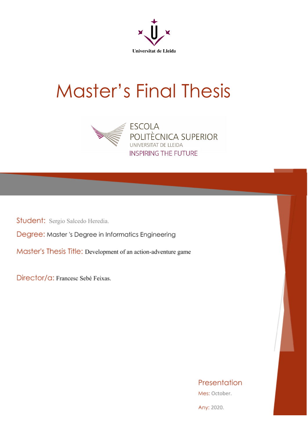

# Master's Final Thesis



Student: Sergio Salcedo Heredia.

Degree: Master 's Degree in Informatics Engineering

Master's Thesis Title: Development of an action-adventure game

Director/G: Francesc Sebé Feixas.

Presentation

Mes: October.

Any: 2020.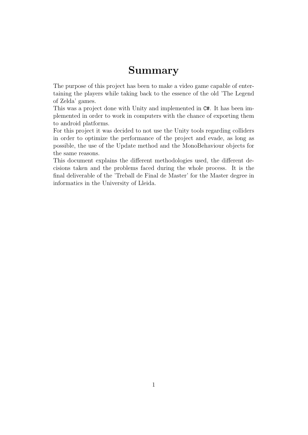# Summary

The purpose of this project has been to make a video game capable of entertaining the players while taking back to the essence of the old 'The Legend of Zelda' games.

This was a project done with Unity and implemented in C#. It has been implemented in order to work in computers with the chance of exporting them to android platforms.

For this project it was decided to not use the Unity tools regarding colliders in order to optimize the performance of the project and evade, as long as possible, the use of the Update method and the MonoBehaviour objects for the same reasons.

This document explains the different methodologies used, the different decisions taken and the problems faced during the whole process. It is the final deliverable of the 'Treball de Final de Master' for the Master degree in informatics in the University of Lleida.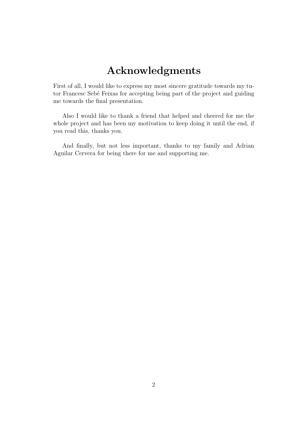# Acknowledgments

First of all, I would like to express my most sincere gratitude towards my tutor Francesc Sebé Feixas for accepting being part of the project and guiding me towards the final presentation.

Also I would like to thank a friend that helped and cheered for me the whole project and has been my motivation to keep doing it until the end, if you read this, thanks you.

And finally, but not less important, thanks to my family and Adrian Aguilar Cervera for being there for me and supporting me.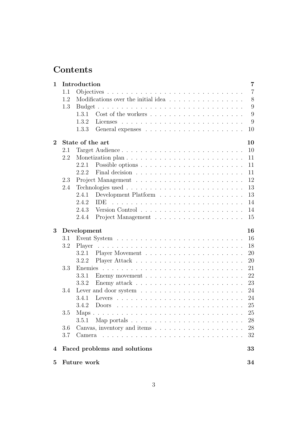# Contents

| $\mathbf{1}$   |         | Introduction       |                                                                              | $\overline{7}$ |
|----------------|---------|--------------------|------------------------------------------------------------------------------|----------------|
|                | 1.1     |                    |                                                                              | $\overline{7}$ |
|                | 1.2     |                    | Modifications over the initial idea                                          | 8              |
|                | 1.3     |                    |                                                                              | 9              |
|                |         | 1.3.1              |                                                                              | 9              |
|                |         | 1.3.2              |                                                                              | 9              |
|                |         | 1.3.3              |                                                                              | 10             |
| $\overline{2}$ |         | State of the art   |                                                                              | 10             |
|                | 2.1     |                    | Target Audience                                                              | 10             |
|                | 2.2     |                    |                                                                              | 11             |
|                |         | 2.2.1              |                                                                              | 11             |
|                |         | 2.2.2              |                                                                              | 11             |
|                | 2.3     |                    |                                                                              | 12             |
|                | 2.4     |                    |                                                                              | 13             |
|                |         | 2.4.1              |                                                                              | 13             |
|                |         | 2.4.2              | <b>IDE</b>                                                                   | 14             |
|                |         | 2.4.3              |                                                                              | 14             |
|                |         | 2.4.4              |                                                                              | 15             |
| 3              |         | Development        |                                                                              | 16             |
|                | 3.1     |                    |                                                                              | 16             |
|                | 3.2     | Player             | <u>. A series and a series and a series and a series and a series and</u>    | 18             |
|                |         | 3.2.1              |                                                                              | 20             |
|                |         | 3.2.2              |                                                                              | 20             |
|                | 3.3     | Enemies            |                                                                              | 21             |
|                |         | 3.3.1              |                                                                              | 22             |
|                |         |                    |                                                                              |                |
|                |         | 3.3.2              |                                                                              | 23             |
|                | 3.4     |                    | Lever and door system $\dots \dots \dots \dots \dots \dots \dots \dots$      | 24             |
|                |         | 3.4.1              |                                                                              | 24             |
|                |         | 3.4.2              |                                                                              | 25             |
|                | $3.5\,$ |                    |                                                                              | $25\,$         |
|                |         | 3.5.1              | Map portals $\ldots \ldots \ldots \ldots \ldots \ldots \ldots \ldots \ldots$ | 28             |
|                | 3.6     |                    |                                                                              | 28             |
|                | 3.7     |                    |                                                                              | 32             |
| 4              |         |                    | Faced problems and solutions                                                 | 33             |
| $\bf{5}$       |         | <b>Future work</b> |                                                                              | 34             |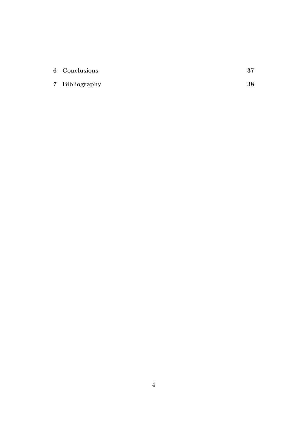| 6 Conclusions  |    |
|----------------|----|
| 7 Bibliography | 38 |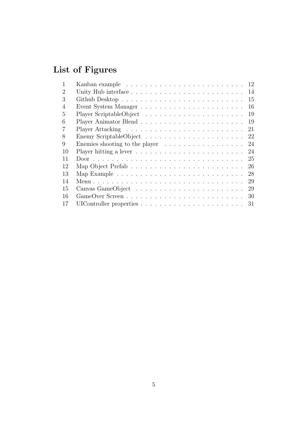# List of Figures

|                                                                                | 14 |
|--------------------------------------------------------------------------------|----|
|                                                                                | 15 |
|                                                                                | 16 |
|                                                                                | 19 |
|                                                                                | 19 |
|                                                                                | 21 |
| 22                                                                             |    |
| Enemies shooting to the player $\ldots \ldots \ldots \ldots \ldots 24$         |    |
|                                                                                | 24 |
|                                                                                | 25 |
|                                                                                | 26 |
|                                                                                | 28 |
|                                                                                | 29 |
|                                                                                | 29 |
| -30                                                                            |    |
| UIC ontroller properties $\ldots \ldots \ldots \ldots \ldots \ldots \ldots 31$ |    |
|                                                                                |    |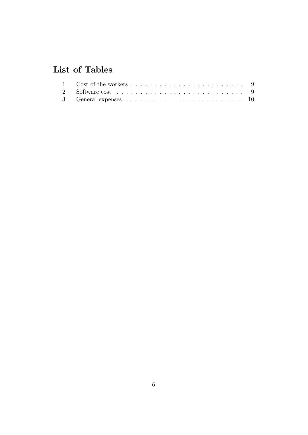# List of Tables

| 3 General expenses $\ldots \ldots \ldots \ldots \ldots \ldots \ldots \ldots \ldots 10$ |  |
|----------------------------------------------------------------------------------------|--|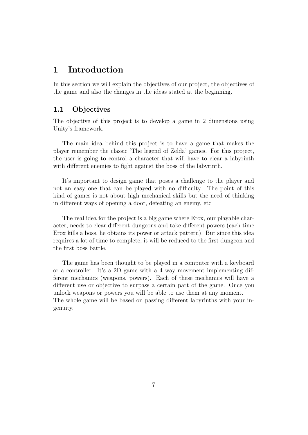### <span id="page-7-0"></span>1 Introduction

In this section we will explain the objectives of our project, the objectives of the game and also the changes in the ideas stated at the beginning.

#### <span id="page-7-1"></span>1.1 Objectives

The objective of this project is to develop a game in 2 dimensions using Unity's framework.

The main idea behind this project is to have a game that makes the player remember the classic 'The legend of Zelda' games. For this project, the user is going to control a character that will have to clear a labyrinth with different enemies to fight against the boss of the labyrinth.

It's important to design game that poses a challenge to the player and not an easy one that can be played with no difficulty. The point of this kind of games is not about high mechanical skills but the need of thinking in different ways of opening a door, defeating an enemy, etc

The real idea for the project is a big game where Erox, our playable character, needs to clear different dungeons and take different powers (each time Erox kills a boss, he obtains its power or attack pattern). But since this idea requires a lot of time to complete, it will be reduced to the first dungeon and the first boss battle.

The game has been thought to be played in a computer with a keyboard or a controller. It's a 2D game with a 4 way movement implementing different mechanics (weapons, powers). Each of these mechanics will have a different use or objective to surpass a certain part of the game. Once you unlock weapons or powers you will be able to use them at any moment. The whole game will be based on passing different labyrinths with your ingenuity.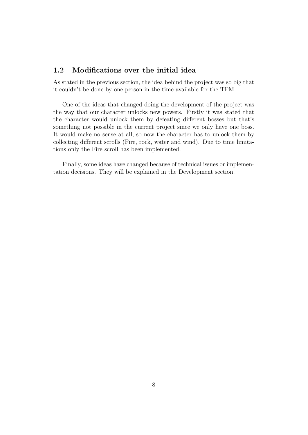#### <span id="page-8-0"></span>1.2 Modifications over the initial idea

As stated in the previous section, the idea behind the project was so big that it couldn't be done by one person in the time available for the TFM.

One of the ideas that changed doing the development of the project was the way that our character unlocks new powers. Firstly it was stated that the character would unlock them by defeating different bosses but that's something not possible in the current project since we only have one boss. It would make no sense at all, so now the character has to unlock them by collecting different scrolls (Fire, rock, water and wind). Due to time limitations only the Fire scroll has been implemented.

Finally, some ideas have changed because of technical issues or implementation decisions. They will be explained in the [Development](#page-16-0) section.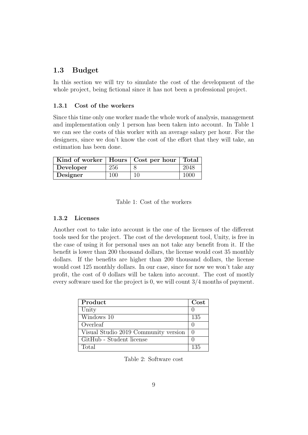#### <span id="page-9-0"></span>1.3 Budget

In this section we will try to simulate the cost of the development of the whole project, being fictional since it has not been a professional project.

#### <span id="page-9-1"></span>1.3.1 Cost of the workers

Since this time only one worker made the whole work of analysis, management and implementation only 1 person has been taken into account. In Table 1 we can see the costs of this worker with an average salary per hour. For the designers, since we don't know the cost of the effort that they will take, an estimation has been done.

| Kind of worker   Hours   Cost per hour   Total |     |    |      |
|------------------------------------------------|-----|----|------|
| Developer                                      | 256 |    | 2048 |
| Designer                                       | 100 | 10 | 1000 |

<span id="page-9-3"></span>Table 1: Cost of the workers

#### <span id="page-9-2"></span>1.3.2 Licenses

Another cost to take into account is the one of the licenses of the different tools used for the project. The cost of the development tool, Unity, is free in the case of using it for personal uses an not take any benefit from it. If the benefit is lower than 200 thousand dollars, the license would cost 35 monthly dollars. If the benefits are higher than 200 thousand dollars, the license would cost 125 monthly dollars. In our case, since for now we won't take any profit, the cost of 0 dollars will be taken into account. The cost of mostly every software used for the project is 0, we will count 3/4 months of payment.

| Product                              | $\rm Cost$       |
|--------------------------------------|------------------|
| Unity                                |                  |
| Windows 10                           | 135              |
| Overleaf                             |                  |
| Visual Studio 2019 Community version | $\left( \right)$ |
| GitHub - Student license             |                  |
| Total                                | 135              |

<span id="page-9-4"></span>Table 2: Software cost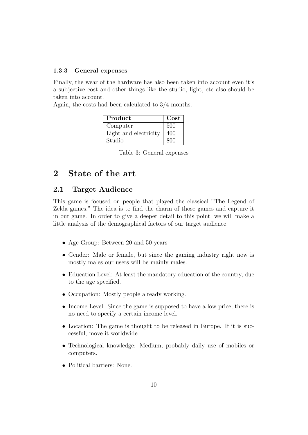#### <span id="page-10-0"></span>1.3.3 General expenses

Finally, the wear of the hardware has also been taken into account even it's a subjective cost and other things like the studio, light, etc also should be taken into account.

Again, the costs had been calculated to 3/4 months.

| Product               | Cost |
|-----------------------|------|
| Computer              | 500  |
| Light and electricity | 400  |
| Studio                | 800  |

<span id="page-10-3"></span>Table 3: General expenses

# <span id="page-10-1"></span>2 State of the art

#### <span id="page-10-2"></span>2.1 Target Audience

This game is focused on people that played the classical "The Legend of Zelda games." The idea is to find the charm of those games and capture it in our game. In order to give a deeper detail to this point, we will make a little analysis of the demographical factors of our target audience:

- Age Group: Between 20 and 50 years
- Gender: Male or female, but since the gaming industry right now is mostly males our users will be mainly males.
- Education Level: At least the mandatory education of the country, due to the age specified.
- Occupation: Mostly people already working.
- Income Level: Since the game is supposed to have a low price, there is no need to specify a certain income level.
- Location: The game is thought to be released in Europe. If it is successful, move it worldwide.
- Technological knowledge: Medium, probably daily use of mobiles or computers.
- Political barriers: None.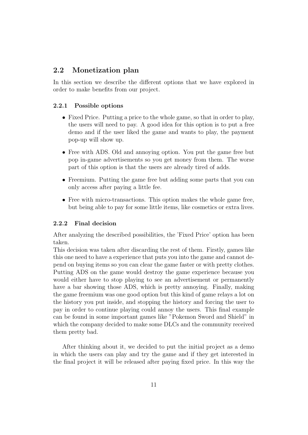#### <span id="page-11-0"></span>2.2 Monetization plan

In this section we describe the different options that we have explored in order to make benefits from our project.

#### <span id="page-11-1"></span>2.2.1 Possible options

- Fixed Price. Putting a price to the whole game, so that in order to play, the users will need to pay. A good idea for this option is to put a free demo and if the user liked the game and wants to play, the payment pop-up will show up.
- Free with ADS. Old and annoying option. You put the game free but pop in-game advertisements so you get money from them. The worse part of this option is that the users are already tired of adds.
- Freemium. Putting the game free but adding some parts that you can only access after paying a little fee.
- Free with micro-transactions. This option makes the whole game free, but being able to pay for some little items, like cosmetics or extra lives.

#### <span id="page-11-2"></span>2.2.2 Final decision

After analyzing the described possibilities, the 'Fixed Price' option has been taken.

This decision was taken after discarding the rest of them. Firstly, games like this one need to have a experience that puts you into the game and cannot depend on buying items so you can clear the game faster or with pretty clothes. Putting ADS on the game would destroy the game experience because you would either have to stop playing to see an advertisement or permanently have a bar showing those ADS, which is pretty annoying. Finally, making the game freemium was one good option but this kind of game relays a lot on the history you put inside, and stopping the history and forcing the user to pay in order to continue playing could annoy the users. This final example can be found in some important games like "Pokemon Sword and Shield" in which the company decided to make some DLCs and the community received them pretty bad.

After thinking about it, we decided to put the initial project as a demo in which the users can play and try the game and if they get interested in the final project it will be released after paying fixed price. In this way the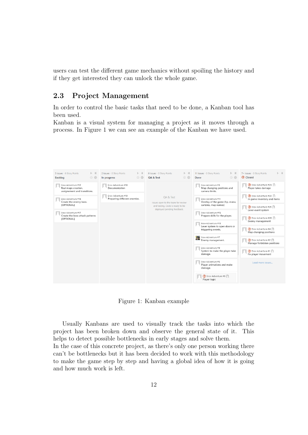users can test the different game mechanics without spoiling the history and if they get interested they can unlock the whole game.

### <span id="page-12-0"></span>2.3 Project Management

In order to control the basic tasks that need to be done, a Kanban tool has been used.

Kanban is a visual system for managing a project as it moves through a process. In Figure 1 we can see an example of the Kanban we have used.

| 3 Issues - 0 Story Points<br>(i) {0}<br><b>Backlog</b>                    | * *<br>2 Issues - 0 Story Points<br>(i) {0}<br>In progress | 0 Issues - 0 Story Points<br>(i) {0}<br>QA & Test              | * *<br>11 Issues - 0 Story Points<br>1 63<br>Done                         | 는 뭘<br>7+ Issues - 0 Story Points<br><b>B</b> Closed            |  |  |
|---------------------------------------------------------------------------|------------------------------------------------------------|----------------------------------------------------------------|---------------------------------------------------------------------------|-----------------------------------------------------------------|--|--|
| Erox-Adventure #12<br>Real maps creation,<br>assignement and transitions. | Erox-Adventure #18<br>Documentation                        |                                                                | Erox-Adventure #3<br>Map changing positions and<br>camera límits.         | (F) Erox-Adventure #23 (1)<br>Player takes damage               |  |  |
| Frox-Adventure #16<br>Create the enemy boss.                              | Erox-Adventure #19<br>Preparing different enemies.         | OA & Test<br>Issues open to the team for review                | Frox-Adventure #11<br>Overlay of the game (hp, mana,                      | Erox-Adventure #22 11<br>In game inventory and items            |  |  |
| [OPTIONAL]<br>Erox-Adventure #17                                          |                                                            | and testing. Code is ready to be<br>deployed pending feedback. | carteles, map names)<br>Erox-Adventure #15                                | Erox-Adventure #21<br>Lever event system                        |  |  |
| Create the boss attack patterns<br><b>[OPTIONAL]</b>                      |                                                            |                                                                | Prepare skills for the player.                                            | Erox-Adventure #20<br>Enemy management                          |  |  |
|                                                                           |                                                            |                                                                | Erox-Adventure #13<br>Lever system to open doors or<br>triggering events. | Erox-Adventure #4<br>Map changing positions                     |  |  |
|                                                                           |                                                            |                                                                | Erox-Adventure #7<br>G.<br>Enemy management.                              | (P) Erox-Adventure #2 $\hat{I}$ .<br>Manage forbidden positions |  |  |
|                                                                           |                                                            |                                                                | Erox-Adventure #9<br>System to make the player take<br>damage.            | Erox-Adventure #1<br>Fix player movement                        |  |  |
|                                                                           |                                                            |                                                                | Erox-Adventure #5<br>Player animations and make<br>damage.                | Load more issues                                                |  |  |
|                                                                           |                                                            |                                                                | (P) Erox-Adventure #6<br>Plaver logic                                     |                                                                 |  |  |

<span id="page-12-1"></span>Figure 1: Kanban example

Usually Kanbans are used to visually track the tasks into which the project has been broken down and observe the general state of it. This helps to detect possible bottlenecks in early stages and solve them. In the case of this concrete project, as there's only one person working there can't be bottlenecks but it has been decided to work with this methodology to make the game step by step and having a global idea of how it is going and how much work is left.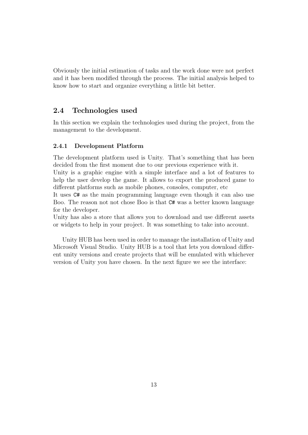Obviously the initial estimation of tasks and the work done were not perfect and it has been modified through the process. The initial analysis helped to know how to start and organize everything a little bit better.

#### <span id="page-13-0"></span>2.4 Technologies used

In this section we explain the technologies used during the project, from the management to the development.

#### <span id="page-13-1"></span>2.4.1 Development Platform

The development platform used is Unity. That's something that has been decided from the first moment due to our previous experience with it.

Unity is a graphic engine with a simple interface and a lot of features to help the user develop the game. It allows to export the produced game to different platforms such as mobile phones, consoles, computer, etc

It uses C# as the main programming language even though it can also use Boo. The reason not not chose Boo is that C# was a better known language for the developer.

Unity has also a store that allows you to download and use different assets or widgets to help in your project. It was something to take into account.

Unity HUB has been used in order to manage the installation of Unity and Microsoft Visual Studio. Unity HUB is a tool that lets you download different unity versions and create projects that will be emulated with whichever version of Unity you have chosen. In the next figure we see the interface: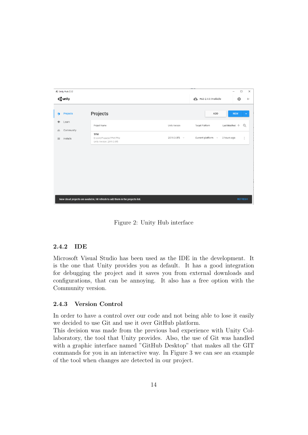

Figure 2: Unity Hub interface

#### <span id="page-14-2"></span><span id="page-14-0"></span>2.4.2 IDE

Microsoft Visual Studio has been used as the IDE in the development. It is the one that Unity provides you as default. It has a good integration for debugging the project and it saves you from external downloads and configurations, that can be annoying. It also has a free option with the Community version.

#### <span id="page-14-1"></span>2.4.3 Version Control

In order to have a control over our code and not being able to lose it easily we decided to use Git and use it over GitHub platform.

This decision was made from the previous bad experience with Unity Collaboratory, the tool that Unity provides. Also, the use of Git was handled with a graphic interface named "GitHub Desktop" that makes all the GIT commands for you in an interactive way. In Figure 3 we can see an example of the tool when changes are detected in our project.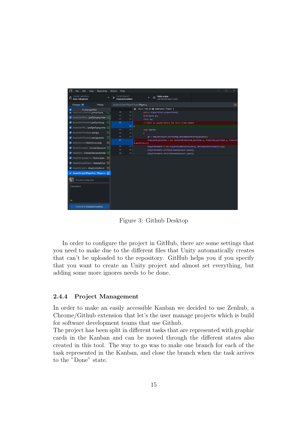

<span id="page-15-1"></span>Figure 3: Github Desktop

In order to configure the project in GitHub, there are some settings that you need to make due to the different files that Unity automatically creates that can't be uploaded to the repository. GitHub helps you if you specify that you want to create an Unity project and almost set everything, but adding some more ignores needs to be done.

#### <span id="page-15-0"></span>2.4.4 Project Management

In order to make an easily accessible Kanban we decided to use Zenhub, a Chrome/Github extension that let's the user manage projects which is build for software development teams that use Github.

The project has been split in different tasks that are represented with graphic cards in the Kanban and can be moved through the different states also created in this tool. The way to go was to make one branch for each of the task represented in the Kanban, and close the branch when the task arrives to the "Done" state.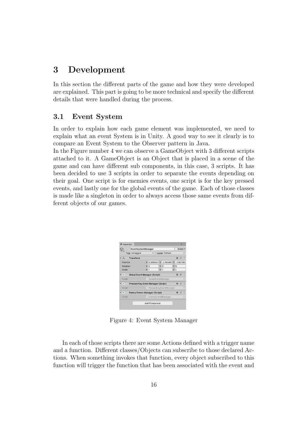## <span id="page-16-0"></span>3 Development

In this section the different parts of the game and how they were developed are explained. This part is going to be more technical and specify the different details that were handled during the process.

#### <span id="page-16-1"></span>3.1 Event System

In order to explain how each game element was implemented, we need to explain what an event System is in Unity. A good way to see it clearly is to compare an Event System to the Observer pattern in Java.

In the Figure number 4 we can observe a GameObject with 3 different scripts attached to it. A GameObject is an Object that is placed in a scene of the game and can have different sub components, in this case, 3 scripts. It has been decided to use 3 scripts in order to separate the events depending on their goal. One script is for enemies events, one script is for the key pressed events, and lastly one for the global events of the game. Each of those classes is made like a singleton in order to always access those same events from different objects of our games.

| <b><i>O</i></b> Inspector          |                                           |                       | $\Delta$ |         |
|------------------------------------|-------------------------------------------|-----------------------|----------|---------|
| EventSystemManager<br>$\checkmark$ |                                           |                       | Static = |         |
| Tag Untagged                       | Laver Default                             |                       |          |         |
| A<br>Transform                     |                                           | $\boldsymbol{\omega}$ | 世        |         |
| Position                           | X 0.288564: Y -0.18446! Z -2.667969       |                       |          |         |
| Rotation                           | x 0<br>YQ                                 | Z 0                   |          |         |
| Scale                              | Y <sub>1</sub><br>X <sub>1</sub>          | $Z$ <sub>1</sub>      |          |         |
| #                                  | <b>Global Event Manager (Script)</b>      |                       | 9 =      | ÷       |
| Script                             | # GlobalEventManager                      |                       |          | $\odot$ |
| #                                  | <b>Pressed Key Event Manager (Script)</b> |                       | @ #      | ÷       |
| Script                             | # PressedKevEventManager                  |                       |          | $\odot$ |
| #                                  | <b>Enemy Events Manager (Script)</b>      |                       | @ ≓      | и       |
| Script                             | <b>= EnemvEventsManager</b>               |                       |          | $\odot$ |
|                                    | Add Component                             |                       |          |         |
|                                    |                                           |                       |          |         |

<span id="page-16-2"></span>Figure 4: Event System Manager

In each of those scripts there are some Actions defined with a trigger name and a function. Different classes/Objects can subscribe to those declared Actions. When something invokes that function, every object subscribed to this function will trigger the function that has been associated with the event and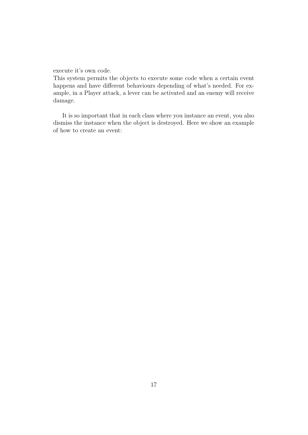execute it's own code.

This system permits the objects to execute some code when a certain event happens and have different behaviours depending of what's needed. For example, in a Player attack, a lever can be activated and an enemy will receive damage.

It is so important that in each class where you instance an event, you also dismiss the instance when the object is destroyed. Here we show an example of how to create an event: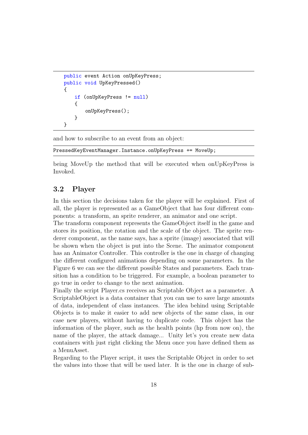```
public event Action onUpKeyPress;
public void UpKeyPressed()
{
   if (onUpKeyPress != null)
   {
       onUpKeyPress();
   }
}
```
and how to subscribe to an event from an object:

```
PressedKeyEventManager.Instance.onUpKeyPress += MoveUp;
```
being MoveUp the method that will be executed when onUpKeyPress is Invoked.

#### <span id="page-18-0"></span>3.2 Player

In this section the decisions taken for the player will be explained. First of all, the player is represented as a GameObject that has four different components: a transform, an sprite renderer, an animator and one script.

The transform component represents the GameObject itself in the game and stores its position, the rotation and the scale of the object. The sprite renderer component, as the name says, has a sprite (image) associated that will be shown when the object is put into the Scene. The animator component has an Animator Controller. This controller is the one in charge of changing the different configured animations depending on some parameters. In the Figure 6 we can see the different possible States and parameters. Each transition has a condition to be triggered. For example, a boolean parameter to go true in order to change to the next animation.

Finally the script Player.cs receives an Scriptable Object as a parameter. A ScriptableObject is a data container that you can use to save large amounts of data, independent of class instances. The idea behind using Scriptable Objects is to make it easier to add new objects of the same class, in our case new players, without having to duplicate code. This object has the information of the player, such as the health points (hp from now on), the name of the player, the attack damage... Unity let's you create new data containers with just right clicking the Menu once you have defined them as a MenuAsset.

Regarding to the Player script, it uses the Scriptable Object in order to set the values into those that will be used later. It is the one in charge of sub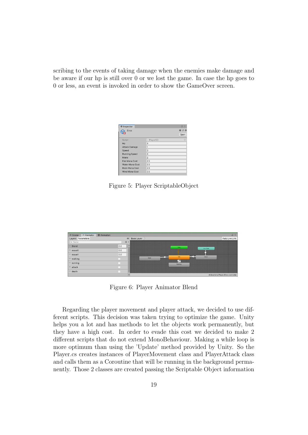scribing to the events of taking damage when the enemies make damage and be aware if our hp is still over 0 or we lost the game. In case the hp goes to 0 or less, an event is invoked in order to show the GameOver screen.

| <b>O</b> Inspector   |                | $\Delta$<br>-9 |
|----------------------|----------------|----------------|
| <b>Erox</b>          |                | 0 1 0          |
|                      |                | Open           |
| Script               | # PlayerSO     | ⊙              |
| Hp                   | 3              |                |
| <b>Attack Damage</b> | 1              |                |
| Speed                | 3              |                |
| <b>Running Speed</b> | 4              |                |
| Mana                 | $\overline{2}$ |                |
| Fire Mana Cost       | 2.5            |                |
| Water Mana Cost      | 2.5            |                |
| Rock Mana Cost       | 2.5            |                |
| Wind Mana Cost       | 2.5            |                |

<span id="page-19-0"></span>Figure 5: Player ScriptableObject



<span id="page-19-1"></span>Figure 6: Player Animator Blend

Regarding the player movement and player attack, we decided to use different scripts. This decision was taken trying to optimize the game. Unity helps you a lot and has methods to let the objects work permanently, but they have a high cost. In order to evade this cost we decided to make 2 different scripts that do not extend MonoBehaviour. Making a while loop is more optimum than using the 'Update' method provided by Unity. So the Player.cs creates instances of PlayerMovement class and PlayerAttack class and calls them as a Coroutine that will be running in the background permanently. Those 2 classes are created passing the Scriptable Object information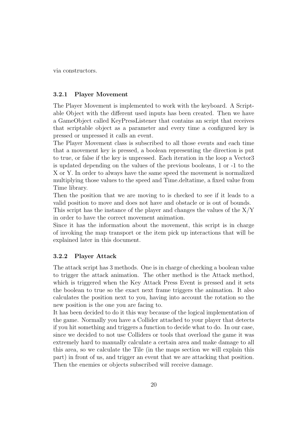via constructors.

#### <span id="page-20-0"></span>3.2.1 Player Movement

The Player Movement is implemented to work with the keyboard. A Scriptable Object with the different used inputs has been created. Then we have a GameObject called KeyPressListener that contains an script that receives that scriptable object as a parameter and every time a configured key is pressed or unpressed it calls an event.

The Player Movement class is subscribed to all those events and each time that a movement key is pressed, a boolean representing the direction is put to true, or false if the key is unpressed. Each iteration in the loop a Vector3 is updated depending on the values of the previous booleans, 1 or -1 to the X or Y. In order to always have the same speed the movement is normalized multiplying those values to the speed and Time.deltatime, a fixed value from Time library.

Then the position that we are moving to is checked to see if it leads to a valid position to move and does not have and obstacle or is out of bounds.

This script has the instance of the player and changes the values of the  $X/Y$ in order to have the correct movement animation.

Since it has the information about the movement, this script is in charge of invoking the map transport or the item pick up interactions that will be explained later in this document.

#### <span id="page-20-1"></span>3.2.2 Player Attack

The attack script has 3 methods. One is in charge of checking a boolean value to trigger the attack animation. The other method is the Attack method, which is triggered when the Key Attack Press Event is pressed and it sets the boolean to true so the exact next frame triggers the animation. It also calculates the position next to you, having into account the rotation so the new position is the one you are facing to.

It has been decided to do it this way because of the logical implementation of the game. Normally you have a Collider attached to your player that detects if you hit something and triggers a function to decide what to do. In our case, since we decided to not use Colliders or tools that overload the game it was extremely hard to manually calculate a certain area and make damage to all this area, so we calculate the Tile (in the maps section we will explain this part) in front of us, and trigger an event that we are attacking that position. Then the enemies or objects subscribed will receive damage.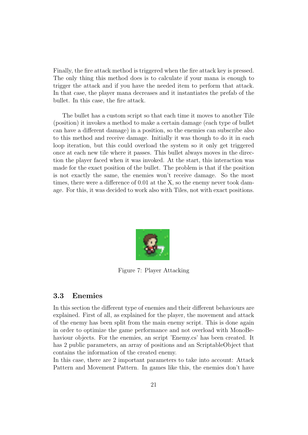Finally, the fire attack method is triggered when the fire attack key is pressed. The only thing this method does is to calculate if your mana is enough to trigger the attack and if you have the needed item to perform that attack. In that case, the player mana decreases and it instantiates the prefab of the bullet. In this case, the fire attack.

The bullet has a custom script so that each time it moves to another Tile (position) it invokes a method to make a certain damage (each type of bullet can have a different damage) in a position, so the enemies can subscribe also to this method and receive damage. Initially it was though to do it in each loop iteration, but this could overload the system so it only get triggered once at each new tile where it passes. This bullet always moves in the direction the player faced when it was invoked. At the start, this interaction was made for the exact position of the bullet. The problem is that if the position is not exactly the same, the enemies won't receive damage. So the most times, there were a difference of 0.01 at the X, so the enemy never took damage. For this, it was decided to work also with Tiles, not with exact positions.

<span id="page-21-1"></span>

Figure 7: Player Attacking

#### <span id="page-21-0"></span>3.3 Enemies

In this section the different type of enemies and their different behaviours are explained. First of all, as explained for the player, the movement and attack of the enemy has been split from the main enemy script. This is done again in order to optimize the game performance and not overload with MonoBehaviour objects. For the enemies, an script 'Enemy.cs' has been created. It has 2 public parameters, an array of positions and an ScriptableObject that contains the information of the created enemy.

In this case, there are 2 important parameters to take into account: Attack Pattern and Movement Pattern. In games like this, the enemies don't have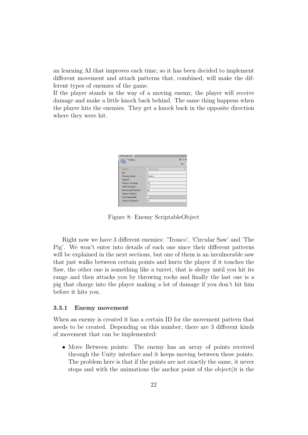an learning AI that improves each time, so it has been decided to implement different movement and attack patterns that, combined, will make the different types of enemies of the game.

If the player stands in the way of a moving enemy, the player will receive damage and make a little knock back behind. The same thing happens when the player hits the enemies. They get a knock back in the opposite direction where they were hit.

| <b>O</b> Inspector      |                | а                                              |
|-------------------------|----------------|------------------------------------------------|
| Tronco                  |                | $\boldsymbol{\Theta} \neq \boldsymbol{\Omega}$ |
|                         |                | Open                                           |
| Script                  | # EnemySO      | G                                              |
| Hp                      | 5              |                                                |
| <b>Enemy Name</b>       | Tronco         |                                                |
| Speed                   | $\overline{2}$ |                                                |
| Impact Damage           | 0.5            |                                                |
| Skill Damage            | 0.5            |                                                |
| <b>Movement Pattern</b> | 99             |                                                |
| <b>Attack Pattern</b>   | 1              |                                                |
| Is Invulnerable         |                |                                                |
| <b>Attack Distance</b>  | 10             |                                                |
|                         |                |                                                |

<span id="page-22-1"></span>Figure 8: Enemy ScriptableObject

Right now we have 3 different enemies: 'Tronco', 'Circular Saw' and 'The Pig'. We won't enter into details of each one since their different patterns will be explained in the next sections, but one of them is an invulnerable saw that just walks between certain points and hurts the player if it touches the Saw, the other one is something like a turret, that is sleepy until you hit its range and then attacks you by throwing rocks and finally the last one is a pig that charge into the player making a lot of damage if you don't hit him before it hits you.

#### <span id="page-22-0"></span>3.3.1 Enemy movement

When an enemy is created it has a certain ID for the movement pattern that needs to be created. Depending on this number, there are 3 different kinds of movement that can be implemented:

• Move Between points: The enemy has an array of points received through the Unity interface and it keeps moving between these points. The problem here is that if the points are not exactly the same, it never stops and with the animations the anchor point of the object(it is the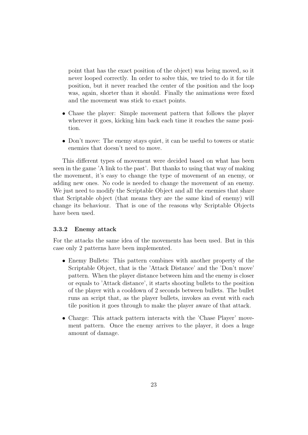point that has the exact position of the object) was being moved, so it never looped correctly. In order to solve this, we tried to do it for tile position, but it never reached the center of the position and the loop was, again, shorter than it should. Finally the animations were fixed and the movement was stick to exact points.

- Chase the player: Simple movement pattern that follows the player wherever it goes, kicking him back each time it reaches the same position.
- Don't move: The enemy stays quiet, it can be useful to towers or static enemies that doesn't need to move.

This different types of movement were decided based on what has been seen in the game 'A link to the past'. But thanks to using that way of making the movement, it's easy to change the type of movement of an enemy, or adding new ones. No code is needed to change the movement of an enemy. We just need to modify the Scriptable Object and all the enemies that share that Scriptable object (that means they are the same kind of enemy) will change its behaviour. That is one of the reasons why Scriptable Objects have been used.

#### <span id="page-23-0"></span>3.3.2 Enemy attack

For the attacks the same idea of the movements has been used. But in this case only 2 patterns have been implemented.

- Enemy Bullets: This pattern combines with another property of the Scriptable Object, that is the 'Attack Distance' and the 'Don't move' pattern. When the player distance between him and the enemy is closer or equals to 'Attack distance', it starts shooting bullets to the position of the player with a cooldown of 2 seconds between bullets. The bullet runs an script that, as the player bullets, invokes an event with each tile position it goes through to make the player aware of that attack.
- Charge: This attack pattern interacts with the 'Chase Player' movement pattern. Once the enemy arrives to the player, it does a huge amount of damage.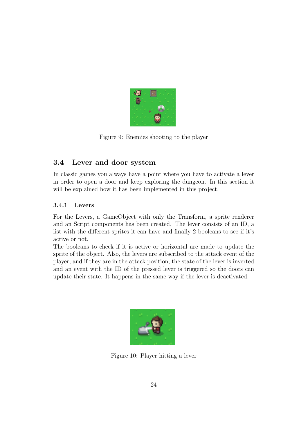<span id="page-24-2"></span>

Figure 9: Enemies shooting to the player

### <span id="page-24-0"></span>3.4 Lever and door system

In classic games you always have a point where you have to activate a lever in order to open a door and keep exploring the dungeon. In this section it will be explained how it has been implemented in this project.

#### <span id="page-24-1"></span>3.4.1 Levers

For the Levers, a GameObject with only the Transform, a sprite renderer and an Script components has been created. The lever consists of an ID, a list with the different sprites it can have and finally 2 booleans to see if it's active or not.

The booleans to check if it is active or horizontal are made to update the sprite of the object. Also, the levers are subscribed to the attack event of the player, and if they are in the attack position, the state of the lever is inverted and an event with the ID of the pressed lever is triggered so the doors can update their state. It happens in the same way if the lever is deactivated.

<span id="page-24-3"></span>

Figure 10: Player hitting a lever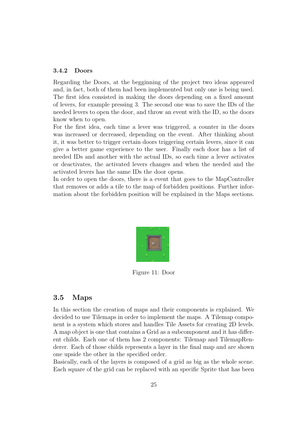#### <span id="page-25-0"></span>3.4.2 Doors

Regarding the Doors, at the begginning of the project two ideas appeared and, in fact, both of them had been implemented but only one is being used. The first idea consisted in making the doors depending on a fixed amount of levers, for example pressing 3. The second one was to save the IDs of the needed levers to open the door, and throw an event with the ID, so the doors know when to open.

For the first idea, each time a lever was triggered, a counter in the doors was increased or decreased, depending on the event. After thinking about it, it was better to trigger certain doors triggering certain levers, since it can give a better game experience to the user. Finally each door has a list of needed IDs and another with the actual IDs, so each time a lever activates or deactivates, the activated levers changes and when the needed and the activated levers has the same IDs the door opens.

In order to open the doors, there is a event that goes to the MapController that removes or adds a tile to the map of forbidden positions. Further information about the forbidden position will be explained in the Maps sections.

<span id="page-25-2"></span>

Figure 11: Door

#### <span id="page-25-1"></span>3.5 Maps

In this section the creation of maps and their components is explained. We decided to use Tilemaps in order to implement the maps. A Tilemap component is a system which stores and handles Tile Assets for creating 2D levels. A map object is one that contains a Grid as a subcomponent and it has different childs. Each one of them has 2 components: Tilemap and TilemapRenderer. Each of those childs represents a layer in the final map and are shown one upside the other in the specified order.

Basically, each of the layers is composed of a grid as big as the whole scene. Each square of the grid can be replaced with an specific Sprite that has been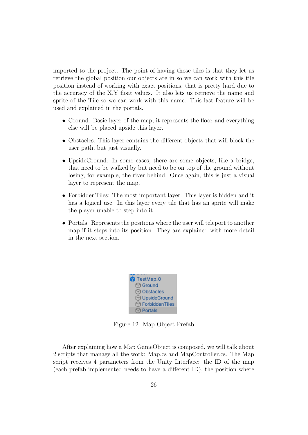imported to the project. The point of having those tiles is that they let us retrieve the global position our objects are in so we can work with this tile position instead of working with exact positions, that is pretty hard due to the accuracy of the X,Y float values. It also lets us retrieve the name and sprite of the Tile so we can work with this name. This last feature will be used and explained in the portals.

- Ground: Basic layer of the map, it represents the floor and everything else will be placed upside this layer.
- Obstacles: This layer contains the different objects that will block the user path, but just visually.
- UpsideGround: In some cases, there are some objects, like a bridge, that need to be walked by but need to be on top of the ground without losing, for example, the river behind. Once again, this is just a visual layer to represent the map.
- ForbiddenTiles: The most important layer. This layer is hidden and it has a logical use. In this layer every tile that has an sprite will make the player unable to step into it.
- Portals: Represents the positions where the user will teleport to another map if it steps into its position. They are explained with more detail in the next section.

<span id="page-26-0"></span>

| TestMap_0                      |
|--------------------------------|
| $\boxtimes$ Ground             |
| <b>⊙</b> Obstacles             |
| <b>⊙</b> UpsideGround          |
| <b><u> </u></b> ForbiddenTiles |
| ੀ Portals                      |

Figure 12: Map Object Prefab

After explaining how a Map GameObject is composed, we will talk about 2 scripts that manage all the work: Map.cs and MapController.cs. The Map script receives 4 parameters from the Unity Interface: the ID of the map (each prefab implemented needs to have a different ID), the position where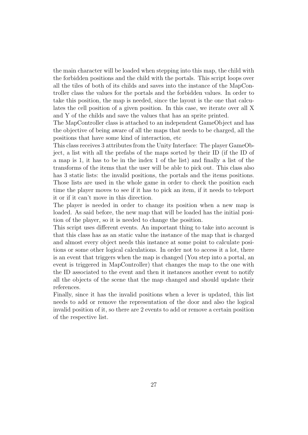the main character will be loaded when stepping into this map, the child with the forbidden positions and the child with the portals. This script loops over all the tiles of both of its childs and saves into the instance of the MapController class the values for the portals and the forbidden values. In order to take this position, the map is needed, since the layout is the one that calculates the cell position of a given position. In this case, we iterate over all X and Y of the childs and save the values that has an sprite printed.

The MapController class is attached to an independent GameObject and has the objective of being aware of all the maps that needs to be charged, all the positions that have some kind of interaction, etc

This class receives 3 attributes from the Unity Interface: The player GameObject, a list with all the prefabs of the maps sorted by their ID (if the ID of a map is 1, it has to be in the index 1 of the list) and finally a list of the transforms of the items that the user will be able to pick out. This class also has 3 static lists: the invalid positions, the portals and the items positions. Those lists are used in the whole game in order to check the position each time the player moves to see if it has to pick an item, if it needs to teleport it or if it can't move in this direction.

The player is needed in order to change its position when a new map is loaded. As said before, the new map that will be loaded has the initial position of the player, so it is needed to change the position.

This script uses different events. An important thing to take into account is that this class has as an static value the instance of the map that is charged and almost every object needs this instance at some point to calculate positions or some other logical calculations. In order not to access it a lot, there is an event that triggers when the map is changed (You step into a portal, an event is triggered in MapController) that changes the map to the one with the ID associated to the event and then it instances another event to notify all the objects of the scene that the map changed and should update their references.

Finally, since it has the invalid positions when a lever is updated, this list needs to add or remove the representation of the door and also the logical invalid position of it, so there are 2 events to add or remove a certain position of the respective list.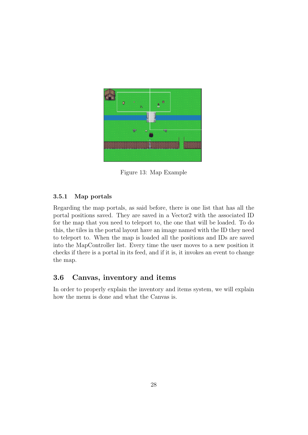<span id="page-28-2"></span>

Figure 13: Map Example

#### <span id="page-28-0"></span>3.5.1 Map portals

Regarding the map portals, as said before, there is one list that has all the portal positions saved. They are saved in a Vector2 with the associated ID for the map that you need to teleport to, the one that will be loaded. To do this, the tiles in the portal layout have an image named with the ID they need to teleport to. When the map is loaded all the positions and IDs are saved into the MapController list. Every time the user moves to a new position it checks if there is a portal in its feed, and if it is, it invokes an event to change the map.

#### <span id="page-28-1"></span>3.6 Canvas, inventory and items

In order to properly explain the inventory and items system, we will explain how the menu is done and what the Canvas is.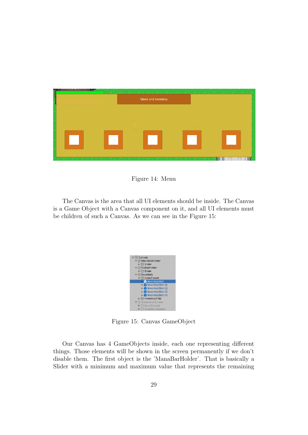

Figure 14: Menu

The Canvas is the area that all UI elements should be inside. The Canvas is a Game Object with a Canvas component on it, and all UI elements must be children of such a Canvas. As we can see in the Figure 15:

<span id="page-29-0"></span>

<span id="page-29-1"></span>Figure 15: Canvas GameObject

Our Canvas has 4 GameObjects inside, each one representing different things. Those elements will be shown in the screen permanently if we don't disable them. The first object is the 'ManaBarHolder'. That is basically a Slider with a minimum and maximum value that represents the remaining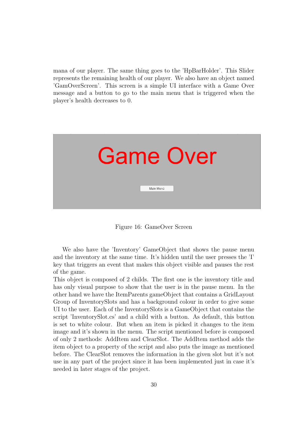mana of our player. The same thing goes to the 'HpBarHolder'. This Slider represents the remaining health of our player. We also have an object named 'GamOverScreen'. This screen is a simple UI interface with a Game Over message and a button to go to the main menu that is triggered when the player's health decreases to 0.



Figure 16: GameOver Screen

<span id="page-30-0"></span>We also have the 'Inventory' GameObject that shows the pause menu and the inventory at the same time. It's hidden until the user presses the 'I' key that triggers an event that makes this object visible and pauses the rest of the game.

This object is composed of 2 childs. The first one is the inventory title and has only visual purpose to show that the user is in the pause menu. In the other hand we have the ItemParents gameObject that contains a GridLayout Group of InventorySlots and has a background colour in order to give some UI to the user. Each of the InventorySlots is a GameObject that contains the script 'InventorySlot.cs' and a child with a button. As default, this button is set to white colour. But when an item is picked it changes to the item image and it's shown in the menu. The script mentioned before is composed of only 2 methods: AddItem and ClearSlot. The AddItem method adds the item object to a property of the script and also puts the image as mentioned before. The ClearSlot removes the information in the given slot but it's not use in any part of the project since it has been implemented just in case it's needed in later stages of the project.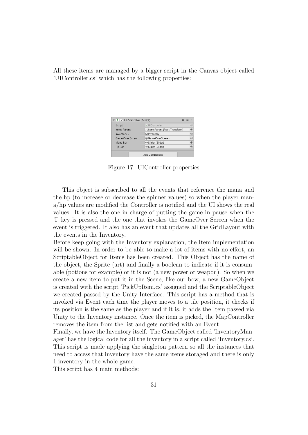All these items are managed by a bigger script in the Canvas object called 'UIController.cs' which has the following properties:

| $\vee$ UI Controller (Script) |                               | 盂       |
|-------------------------------|-------------------------------|---------|
| Script                        | # UIController                | ⊙       |
| <b>Items Parent</b>           | ttlemsParent (Rect Transform) | $\odot$ |
| <b>Inventory UI</b>           | hventory                      | $\odot$ |
| <b>Game Over Screen</b>       | <b><i>m</i>GameOverScreen</b> | $\odot$ |
| Mana Bar                      | <sup>■</sup> Slider (Slider)  | $\odot$ |
| Hp Bar                        | <sup>■</sup> Slider (Slider)  | $\odot$ |
|                               | <b>Add Component</b>          |         |

<span id="page-31-0"></span>Figure 17: UIController properties

This object is subscribed to all the events that reference the mana and the hp (to increase or decrease the spinner values) so when the player mana/hp values are modified the Controller is notified and the UI shows the real values. It is also the one in charge of putting the game in pause when the 'I' key is pressed and the one that invokes the GameOver Screen when the event is triggered. It also has an event that updates all the GridLayout with the events in the Inventory.

Before keep going with the Inventory explanation, the Item implementation will be shown. In order to be able to make a lot of items with no effort, an ScriptableObject for Items has been created. This Object has the name of the object, the Sprite (art) and finally a boolean to indicate if it is consumable (potions for example) or it is not (a new power or weapon). So when we create a new item to put it in the Scene, like our bow, a new GameObject is created with the script 'PickUpItem.cs' assigned and the ScriptableObject we created passed by the Unity Interface. This script has a method that is invoked via Event each time the player moves to a tile position, it checks if its position is the same as the player and if it is, it adds the Item passed via Unity to the Inventory instance. Once the item is picked, the MapController removes the item from the list and gets notified with an Event.

Finally, we have the Inventory itself. The GameObject called 'InventoryManager' has the logical code for all the inventory in a script called 'Inventory.cs'. This script is made applying the singleton pattern so all the instances that need to access that inventory have the same items storaged and there is only 1 inventory in the whole game.

This script has 4 main methods: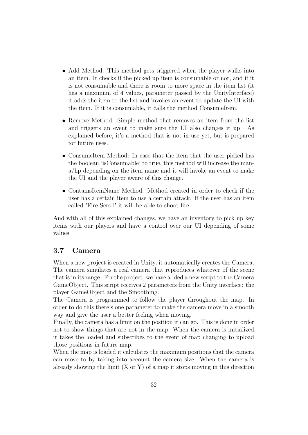- Add Method: This method gets triggered when the player walks into an item. It checks if the picked up item is consumable or not, and if it is not consumable and there is room to more space in the item list (it has a maximum of 4 values, parameter passed by the UnityInterface) it adds the item to the list and invokes an event to update the UI with the item. If it is consumable, it calls the method ConsumeItem.
- Remove Method: Simple method that removes an item from the list and triggers an event to make sure the UI also changes it up. As explained before, it's a method that is not in use yet, but is prepared for future uses.
- ConsumeItem Method: In case that the item that the user picked has the boolean 'isConsumable' to true, this method will increase the mana/hp depending on the item name and it will invoke an event to make the UI and the player aware of this change.
- ContainsItemName Method: Method created in order to check if the user has a certain item to use a certain attack. If the user has an item called 'Fire Scroll' it will be able to shoot fire.

And with all of this explained changes, we have an inventory to pick up key items with our players and have a control over our UI depending of some values.

#### <span id="page-32-0"></span>3.7 Camera

When a new project is created in Unity, it automatically creates the Camera. The camera simulates a real camera that reproduces whatever of the scene that is in its range. For the project, we have added a new script to the Camera GameObject. This script receives 2 parameters from the Unity interface: the player GameObject and the Smoothing.

The Camera is programmed to follow the player throughout the map. In order to do this there's one parameter to make the camera move in a smooth way and give the user a better feeling when moving.

Finally, the camera has a limit on the position it can go. This is done in order not to show things that are not in the map. When the camera is initialized it takes the loaded and subscribes to the event of map changing to upload those positions in future map.

When the map is loaded it calculates the maximum positions that the camera can move to by taking into account the camera size. When the camera is already showing the limit  $(X \text{ or } Y)$  of a map it stops moving in this direction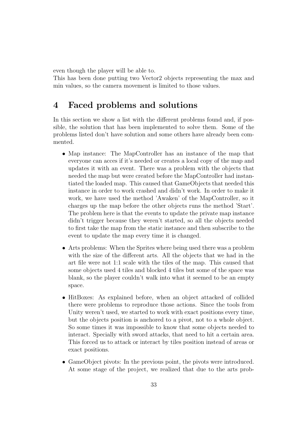even though the player will be able to.

This has been done putting two Vector2 objects representing the max and min values, so the camera movement is limited to those values.

### <span id="page-33-0"></span>4 Faced problems and solutions

In this section we show a list with the different problems found and, if possible, the solution that has been implemented to solve them. Some of the problems listed don't have solution and some others have already been commented.

- Map instance: The MapController has an instance of the map that everyone can acces if it's needed or creates a local copy of the map and updates it with an event. There was a problem with the objects that needed the map but were created before the MapController had instantiated the loaded map. This caused that GameObjects that needed this instance in order to work crashed and didn't work. In order to make it work, we have used the method 'Awaken' of the MapController, so it charges up the map before the other objects runs the method 'Start'. The problem here is that the events to update the private map instance didn't trigger because they weren't started, so all the objects needed to first take the map from the static instance and then subscribe to the event to update the map every time it is changed.
- Arts problems: When the Sprites where being used there was a problem with the size of the different arts. All the objects that we had in the art file were not 1:1 scale with the tiles of the map. This caused that some objects used 4 tiles and blocked 4 tiles but some of the space was blank, so the player couldn't walk into what it seemed to be an empty space.
- HitBoxes: As explained before, when an object attacked of collided there were problems to reproduce those actions. Since the tools from Unity weren't used, we started to work with exact positions every time, but the objects position is anchored to a pivot, not to a whole object. So some times it was impossible to know that some objects needed to interact. Specially with sword attacks, that need to hit a certain area. This forced us to attack or interact by tiles position instead of areas or exact positions.
- GameObject pivots: In the previous point, the pivots were introduced. At some stage of the project, we realized that due to the arts prob-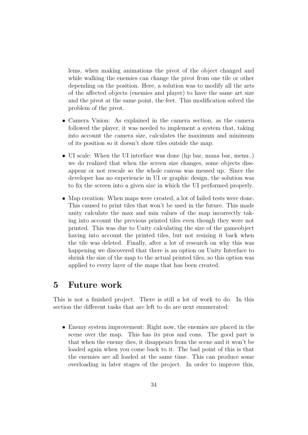lems, when making animations the pivot of the object changed and while walking the enemies can change the pivot from one tile or other depending on the position. Here, a solution was to modify all the arts of the affected objects (enemies and player) to have the same art size and the pivot at the same point, the feet. This modification solved the problem of the pivot.

- Camera Vision: As explained in the camera section, as the camera followed the player, it was needed to implement a system that, taking into account the camera size, calculates the maximum and minimum of its position so it doesn't show tiles outside the map.
- UI scale: When the UI interface was done (hp bar, mana bar, menu..) we do realized that when the screen size changes, some objects dissappear or not rescale so the whole canvas was messed up. Since the developer has no experiencie in UI or graphic design, the solution was to fix the screen into a given size in which the UI performed properly.
- Map creation: When maps were created, a lot of failed tests were done. This caused to print tiles that won't be used in the future. This made unity calculate the max and min values of the map incorrectly taking into account the previous printed tiles even though they were not printed. This was due to Unity calculating the size of the gameobject having into account the printed tiles, but not resizing it back when the tile was deleted. Finally, after a lot of research on why this was happening we discovered that there is an option on Unity Interface to shrink the size of the map to the actual printed tiles, so this option was applied to every layer of the maps that has been created.

### <span id="page-34-0"></span>5 Future work

This is not a finished project. There is still a lot of work to do. In this section the different tasks that are left to do are next enumerated:

• Enemy system improvement: Right now, the enemies are placed in the scene over the map. This has its pros and cons. The good part is that when the enemy dies, it disappears from the scene and it won't be loaded again when you come back to it. The bad point of this is that the enemies are all loaded at the same time. This can produce some overloading in later stages of the project. In order to improve this,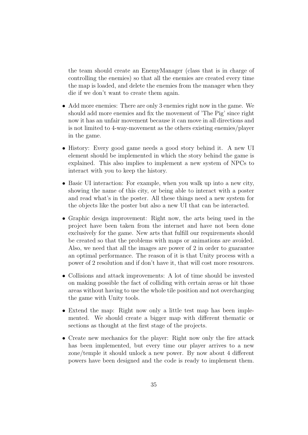the team should create an EnemyManager (class that is in charge of controlling the enemies) so that all the enemies are created every time the map is loaded, and delete the enemies from the manager when they die if we don't want to create them again.

- Add more enemies: There are only 3 enemies right now in the game. We should add more enemies and fix the movement of 'The Pig' since right now it has an unfair movement because it can move in all directions and is not limited to 4-way-movement as the others existing enemies/player in the game.
- History: Every good game needs a good story behind it. A new UI element should be implemented in which the story behind the game is explained. This also implies to implement a new system of NPCs to interact with you to keep the history.
- Basic UI interaction: For example, when you walk up into a new city, showing the name of this city, or being able to interact with a poster and read what's in the poster. All these things need a new system for the objects like the poster but also a new UI that can be interacted.
- Graphic design improvement: Right now, the arts being used in the project have been taken from the internet and have not been done exclusively for the game. New arts that fulfill our requirements should be created so that the problems with maps or animations are avoided. Also, we need that all the images are power of 2 in order to guarantee an optimal performance. The reason of it is that Unity process with a power of 2 resolution and if don't have it, that will cost more resources.
- Collisions and attack improvements: A lot of time should be invested on making possible the fact of colliding with certain areas or hit those areas without having to use the whole tile position and not overcharging the game with Unity tools.
- Extend the map: Right now only a little test map has been implemented. We should create a bigger map with different thematic or sections as thought at the first stage of the projects.
- Create new mechanics for the player: Right now only the fire attack has been implemented, but every time our player arrives to a new zone/temple it should unlock a new power. By now about 4 different powers have been designed and the code is ready to implement them.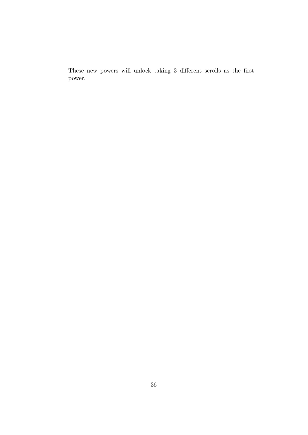These new powers will unlock taking 3 different scrolls as the first power.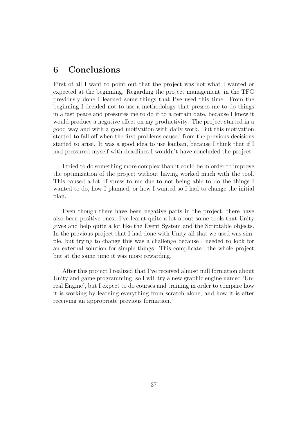# <span id="page-37-0"></span>6 Conclusions

First of all I want to point out that the project was not what I wanted or expected at the beginning. Regarding the project management, in the TFG previously done I learned some things that I've used this time. From the beginning I decided not to use a methodology that presses me to do things in a fast peace and pressures me to do it to a certain date, because I knew it would produce a negative effect on my productivity. The project started in a good way and with a good motivation with daily work. But this motivation started to fall off when the first problems caused from the previous decisions started to arise. It was a good idea to use kanban, because I think that if I had pressured myself with deadlines I wouldn't have concluded the project.

I tried to do something more complex than it could be in order to improve the optimization of the project without having worked much with the tool. This caused a lot of stress to me due to not being able to do the things I wanted to do, how I planned, or how I wanted so I had to change the initial plan.

Even though there have been negative parts in the project, there have also been positive ones. I've learnt quite a lot about some tools that Unity gives and help quite a lot like the Event System and the Scriptable objects. In the previous project that I had done with Unity all that we used was simple, but trying to change this was a challenge because I needed to look for an external solution for simple things. This complicated the whole project but at the same time it was more rewarding.

After this project I realized that I've received almost null formation about Unity and game programming, so I will try a new graphic engine named 'Unreal Engine', but I expect to do courses and training in order to compare how it is working by learning everything from scratch alone, and how it is after receiving an appropriate previous formation.